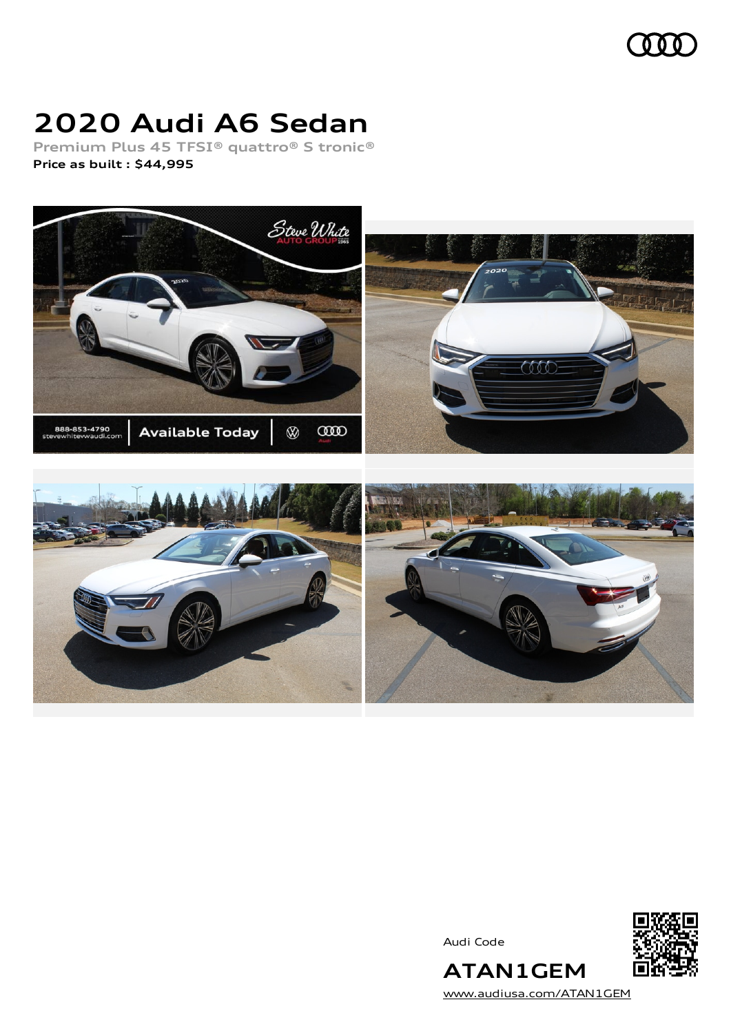

# **2020 Audi A6 Sedan**

**Premium Plus 45 TFSI® quattro® S tronic® Price as built [:](#page-8-0) \$44,995**



Audi Code



[www.audiusa.com/ATAN1GEM](https://www.audiusa.com/ATAN1GEM)

**ATAN1GEM**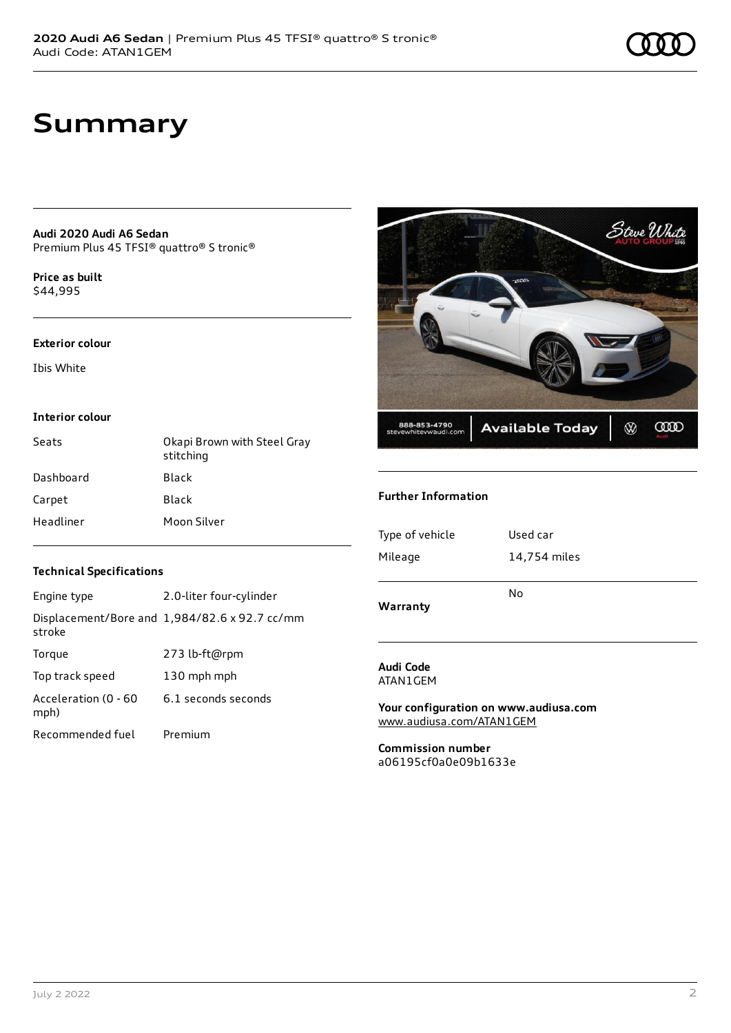## **Summary**

**Audi 2020 Audi A6 Sedan** Premium Plus 45 TFSI® quattro® S tronic®

**Price as buil[t](#page-8-0)** \$44,995

#### **Exterior colour**

Ibis White

#### **Interior colour**

| Seats     | Okapi Brown with Steel Gray<br>stitching |
|-----------|------------------------------------------|
| Dashboard | Black                                    |
| Carpet    | Black                                    |
| Headliner | Moon Silver                              |



#### **Further Information**

### Engine type 2.0-liter four-cylinder

**Technical Specifications**

| stroke                       | Displacement/Bore and 1,984/82.6 x 92.7 cc/mm |
|------------------------------|-----------------------------------------------|
| Torque                       | 273 lb-ft@rpm                                 |
| Top track speed              | 130 mph mph                                   |
| Acceleration (0 - 60<br>mph) | 6.1 seconds seconds                           |
| Recommended fuel             | Premium                                       |

**Audi Code** ATAN1GEM

**Your configuration on www.audiusa.com** [www.audiusa.com/ATAN1GEM](https://www.audiusa.com/ATAN1GEM)

**Commission number** a06195cf0a0e09b1633e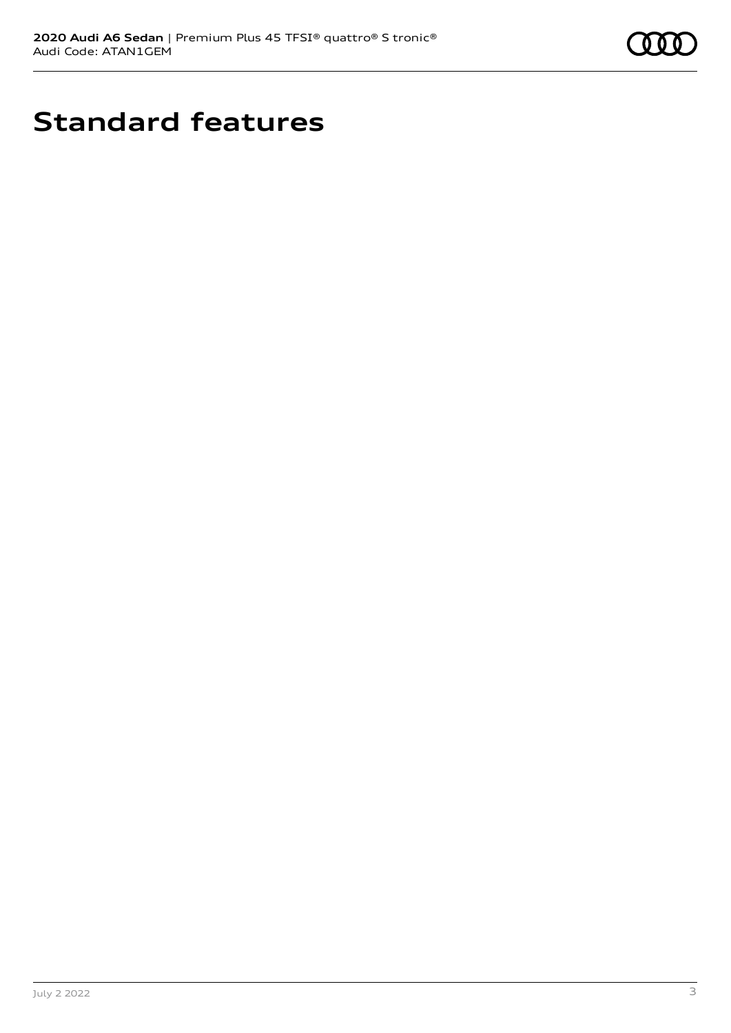

# **Standard features**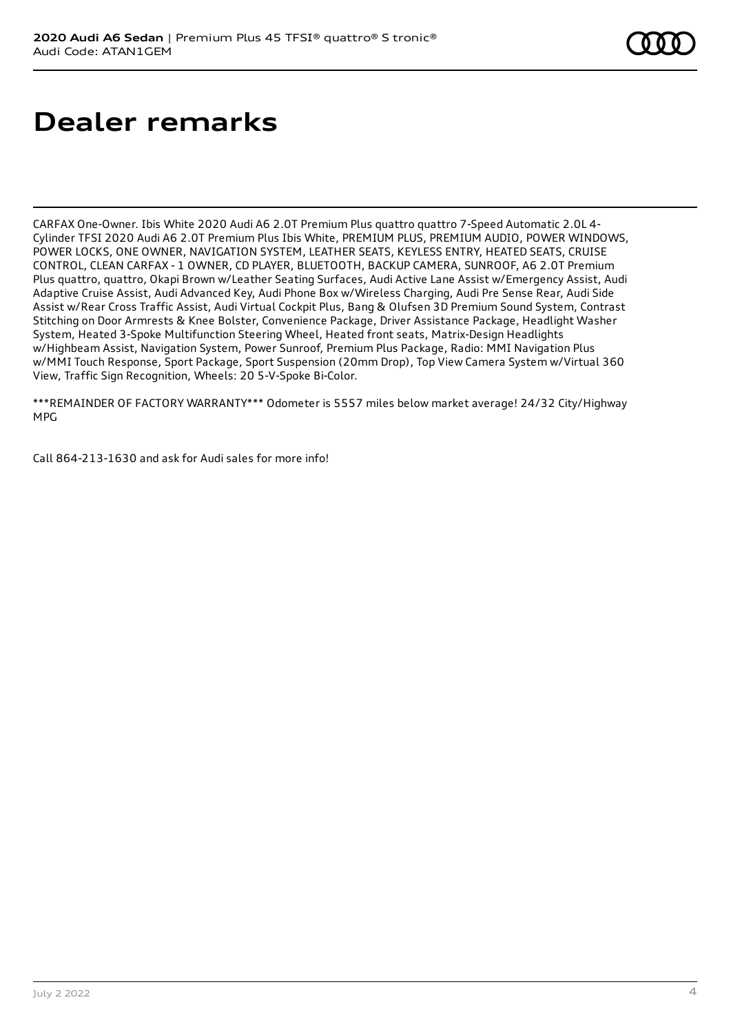# **Dealer remarks**

CARFAX One-Owner. Ibis White 2020 Audi A6 2.0T Premium Plus quattro quattro 7-Speed Automatic 2.0L 4- Cylinder TFSI 2020 Audi A6 2.0T Premium Plus Ibis White, PREMIUM PLUS, PREMIUM AUDIO, POWER WINDOWS, POWER LOCKS, ONE OWNER, NAVIGATION SYSTEM, LEATHER SEATS, KEYLESS ENTRY, HEATED SEATS, CRUISE CONTROL, CLEAN CARFAX - 1 OWNER, CD PLAYER, BLUETOOTH, BACKUP CAMERA, SUNROOF, A6 2.0T Premium Plus quattro, quattro, Okapi Brown w/Leather Seating Surfaces, Audi Active Lane Assist w/Emergency Assist, Audi Adaptive Cruise Assist, Audi Advanced Key, Audi Phone Box w/Wireless Charging, Audi Pre Sense Rear, Audi Side Assist w/Rear Cross Traffic Assist, Audi Virtual Cockpit Plus, Bang & Olufsen 3D Premium Sound System, Contrast Stitching on Door Armrests & Knee Bolster, Convenience Package, Driver Assistance Package, Headlight Washer System, Heated 3-Spoke Multifunction Steering Wheel, Heated front seats, Matrix-Design Headlights w/Highbeam Assist, Navigation System, Power Sunroof, Premium Plus Package, Radio: MMI Navigation Plus w/MMI Touch Response, Sport Package, Sport Suspension (20mm Drop), Top View Camera System w/Virtual 360 View, Traffic Sign Recognition, Wheels: 20 5-V-Spoke Bi-Color.

\*\*\*REMAINDER OF FACTORY WARRANTY\*\*\* Odometer is 5557 miles below market average! 24/32 City/Highway MPG

Call 864-213-1630 and ask for Audi sales for more info!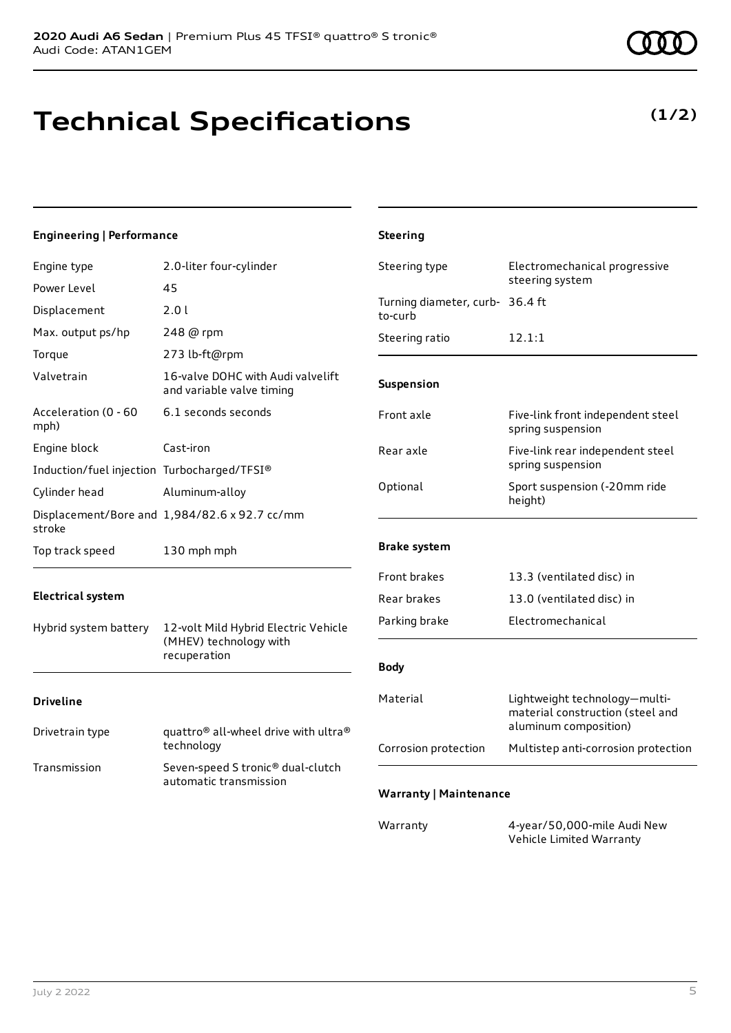## **Technical Specifications**

### **Engineering | Performance**

| Engine type                                 | 2.0-liter four-cylinder                                        | Steering type                              | Electromechanical progressive                                                              |
|---------------------------------------------|----------------------------------------------------------------|--------------------------------------------|--------------------------------------------------------------------------------------------|
| Power Level                                 | 45                                                             |                                            | steering system                                                                            |
| Displacement                                | 2.0 l                                                          | Turning diameter, curb- 36.4 ft<br>to-curb |                                                                                            |
| Max. output ps/hp                           | 248 @ rpm                                                      | Steering ratio                             | 12.1:1                                                                                     |
| Torque                                      | 273 lb-ft@rpm                                                  |                                            |                                                                                            |
| Valvetrain                                  | 16-valve DOHC with Audi valvelift<br>and variable valve timing | Suspension                                 |                                                                                            |
| Acceleration (0 - 60<br>mph)                | 6.1 seconds seconds                                            | Front axle                                 | Five-link front independent steel<br>spring suspension                                     |
| Engine block                                | Cast-iron                                                      | Rear axle                                  | Five-link rear independent steel                                                           |
| Induction/fuel injection Turbocharged/TFSI® |                                                                |                                            | spring suspension                                                                          |
| Cylinder head                               | Aluminum-alloy                                                 | Optional                                   | Sport suspension (-20mm ride<br>height)                                                    |
| stroke                                      | Displacement/Bore and 1,984/82.6 x 92.7 cc/mm                  |                                            |                                                                                            |
| Top track speed                             | 130 mph mph                                                    | <b>Brake system</b>                        |                                                                                            |
|                                             |                                                                | Front brakes                               | 13.3 (ventilated disc) in                                                                  |
| <b>Electrical system</b>                    |                                                                | Rear brakes                                | 13.0 (ventilated disc) in                                                                  |
| Hybrid system battery                       | 12-volt Mild Hybrid Electric Vehicle                           | Parking brake                              | Electromechanical                                                                          |
| (MHEV) technology with<br>recuperation      |                                                                | <b>Body</b>                                |                                                                                            |
| <b>Driveline</b>                            |                                                                | Material                                   | Lightweight technology-multi-<br>material construction (steel and<br>aluminum composition) |
| Drivetrain type                             | quattro® all-wheel drive with ultra®<br>technology             | Corrosion protection                       | Multistep anti-corrosion protection                                                        |
| Transmission                                | Seven-speed S tronic® dual-clutch                              |                                            |                                                                                            |
|                                             | automatic transmission                                         | <b>Warranty   Maintenance</b>              |                                                                                            |
|                                             |                                                                | Warranty                                   | 4-year/50,000-mile Audi New<br>Vehicle Limited Warranty                                    |

**Steering**

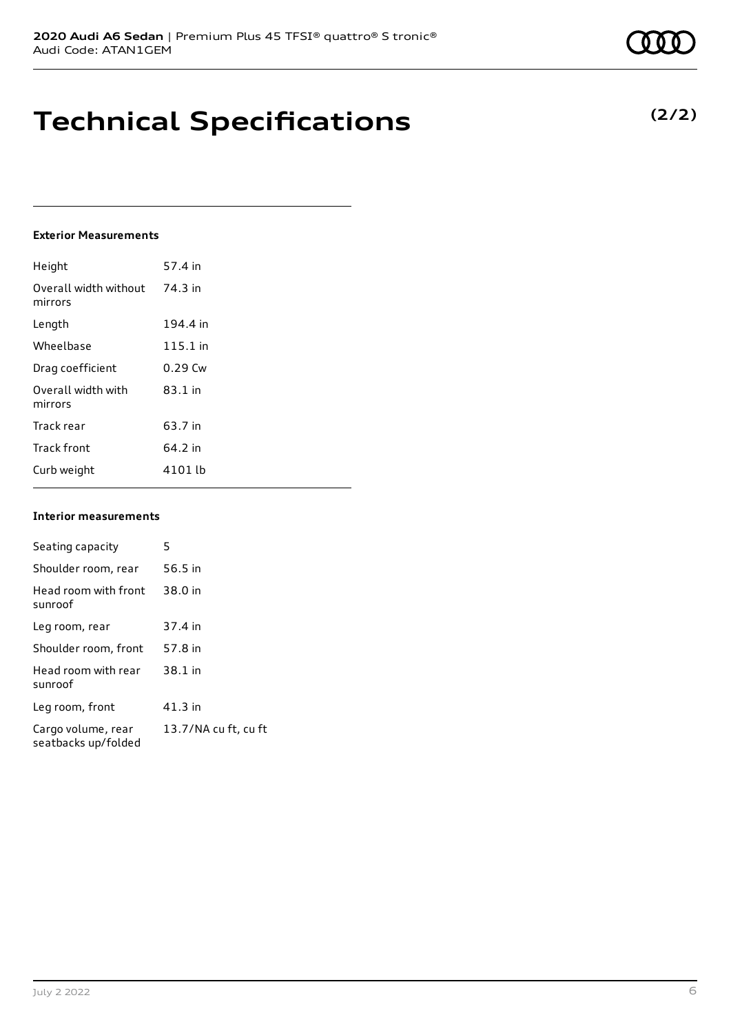**Technical Specifications**

### **Exterior Measurements**

| Height                           | 57.4 in   |
|----------------------------------|-----------|
| Overall width without<br>mirrors | 74.3 in   |
| Length                           | 194.4 in  |
| Wheelbase                        | 115.1 in  |
| Drag coefficient                 | $0.29$ Cw |
| Overall width with<br>mirrors    | $83.1$ in |
| Track rear                       | 63.7 in   |
| <b>Track front</b>               | 64.2 in   |
| Curb weight                      | 4101 lb   |

#### **Interior measurements**

| Seating capacity                          | 5                    |
|-------------------------------------------|----------------------|
| Shoulder room, rear                       | 56.5 in              |
| Head room with front<br>sunroof           | 38.0 in              |
| Leg room, rear                            | 37.4 in              |
| Shoulder room, front                      | 57.8 in              |
| Head room with rear<br>sunroof            | 38.1 in              |
| Leg room, front                           | $41.3$ in            |
| Cargo volume, rear<br>seatbacks up/folded | 13.7/NA cu ft, cu ft |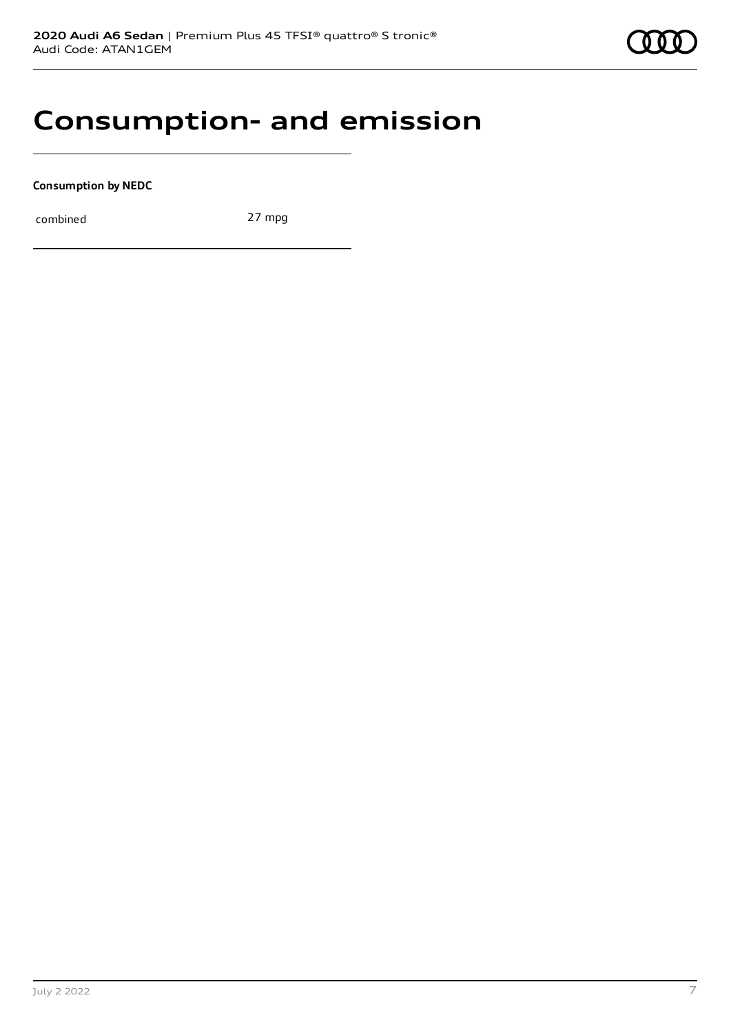### **Consumption- and emission**

**Consumption by NEDC**

combined 27 mpg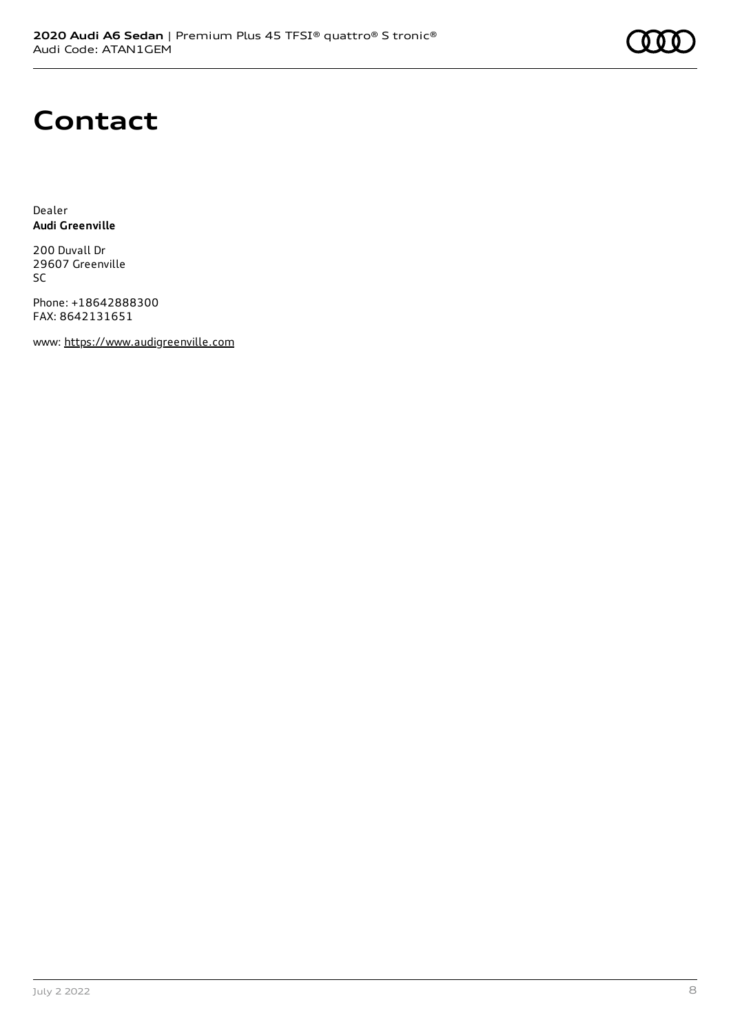# **Contact**

Dealer **Audi Greenville**

200 Duvall Dr 29607 Greenville SC

Phone: +18642888300 FAX: 8642131651

www: [https://www.audigreenville.com](https://www.audigreenville.com/)